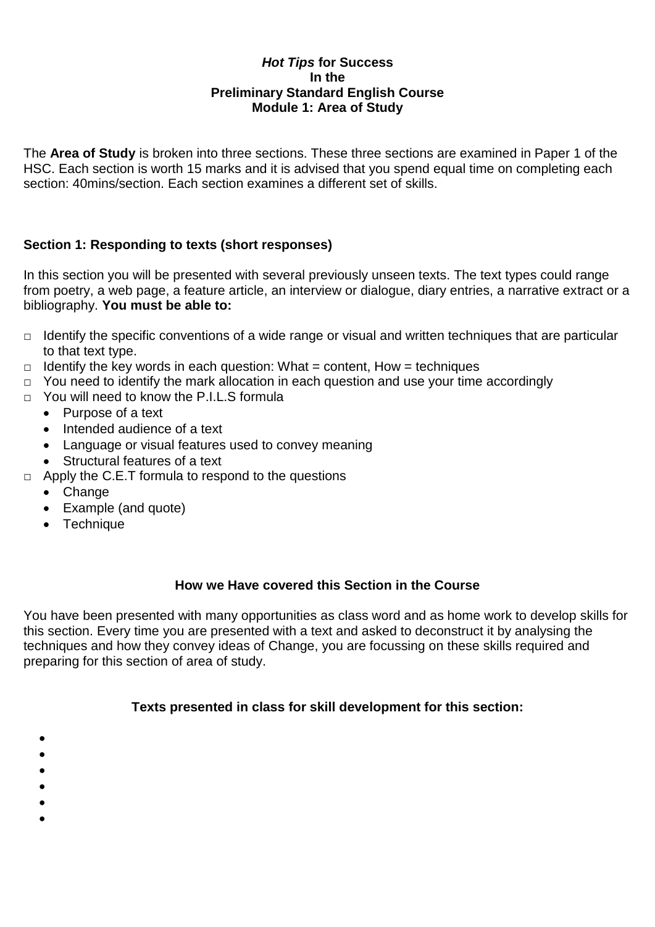### *Hot Tips* **for Success In the Preliminary Standard English Course Module 1: Area of Study**

The **Area of Study** is broken into three sections. These three sections are examined in Paper 1 of the HSC. Each section is worth 15 marks and it is advised that you spend equal time on completing each section: 40mins/section. Each section examines a different set of skills.

### **Section 1: Responding to texts (short responses)**

In this section you will be presented with several previously unseen texts. The text types could range from poetry, a web page, a feature article, an interview or dialogue, diary entries, a narrative extract or a bibliography. **You must be able to:**

- $\Box$  Identify the specific conventions of a wide range or visual and written techniques that are particular to that text type.
- $\Box$  Identify the key words in each question: What = content, How = techniques
- □ You need to identify the mark allocation in each question and use your time accordingly
- □ You will need to know the P.I.L.S formula
	- Purpose of a text
	- Intended audience of a text
	- Language or visual features used to convey meaning
	- Structural features of a text
- $\Box$  Apply the C.E.T formula to respond to the questions
	- Change
	- Example (and quote)
	- Technique

### **How we Have covered this Section in the Course**

You have been presented with many opportunities as class word and as home work to develop skills for this section. Every time you are presented with a text and asked to deconstruct it by analysing the techniques and how they convey ideas of Change, you are focussing on these skills required and preparing for this section of area of study.

### **Texts presented in class for skill development for this section:**

- $\bullet$
- $\bullet$
- $\bullet$
- $\bullet$
- $\bullet$
- $\bullet$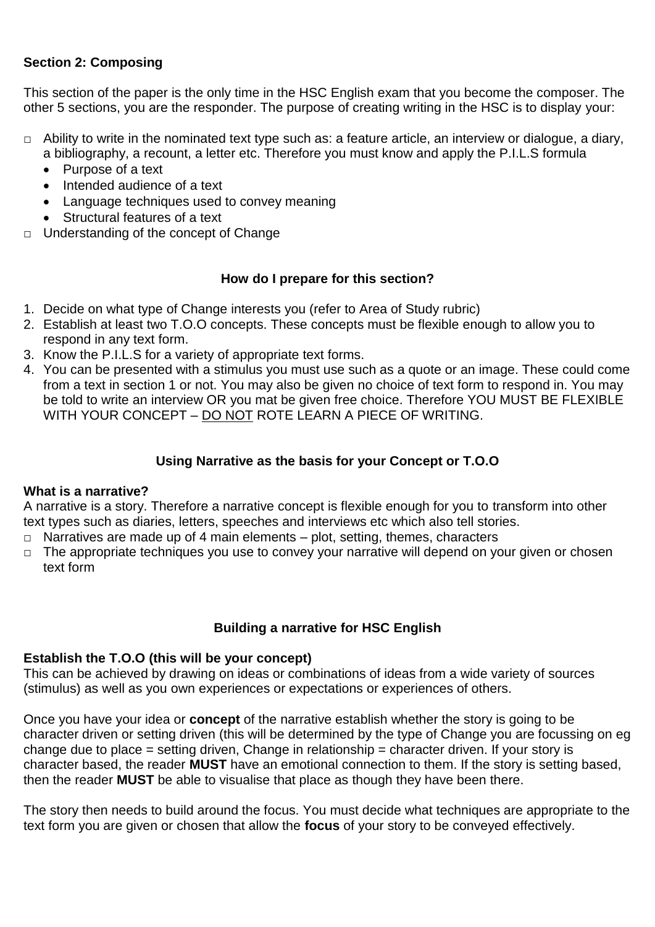# **Section 2: Composing**

This section of the paper is the only time in the HSC English exam that you become the composer. The other 5 sections, you are the responder. The purpose of creating writing in the HSC is to display your:

- □ Ability to write in the nominated text type such as: a feature article, an interview or dialogue, a diary, a bibliography, a recount, a letter etc. Therefore you must know and apply the P.I.L.S formula
	- Purpose of a text
	- Intended audience of a text
	- Language techniques used to convey meaning
	- Structural features of a text
- □ Understanding of the concept of Change

### **How do I prepare for this section?**

- 1. Decide on what type of Change interests you (refer to Area of Study rubric)
- 2. Establish at least two T.O.O concepts. These concepts must be flexible enough to allow you to respond in any text form.
- 3. Know the P.I.L.S for a variety of appropriate text forms.
- 4. You can be presented with a stimulus you must use such as a quote or an image. These could come from a text in section 1 or not. You may also be given no choice of text form to respond in. You may be told to write an interview OR you mat be given free choice. Therefore YOU MUST BE FLEXIBLE WITH YOUR CONCEPT – DO NOT ROTE LEARN A PIECE OF WRITING.

### **Using Narrative as the basis for your Concept or T.O.O**

#### **What is a narrative?**

A narrative is a story. Therefore a narrative concept is flexible enough for you to transform into other text types such as diaries, letters, speeches and interviews etc which also tell stories.

- $\Box$  Narratives are made up of 4 main elements plot, setting, themes, characters
- $\nabla$  The appropriate techniques you use to convey your narrative will depend on your given or chosen text form

### **Building a narrative for HSC English**

#### **Establish the T.O.O (this will be your concept)**

This can be achieved by drawing on ideas or combinations of ideas from a wide variety of sources (stimulus) as well as you own experiences or expectations or experiences of others.

Once you have your idea or **concept** of the narrative establish whether the story is going to be character driven or setting driven (this will be determined by the type of Change you are focussing on eg change due to place = setting driven, Change in relationship = character driven. If your story is character based, the reader **MUST** have an emotional connection to them. If the story is setting based, then the reader **MUST** be able to visualise that place as though they have been there.

The story then needs to build around the focus. You must decide what techniques are appropriate to the text form you are given or chosen that allow the **focus** of your story to be conveyed effectively.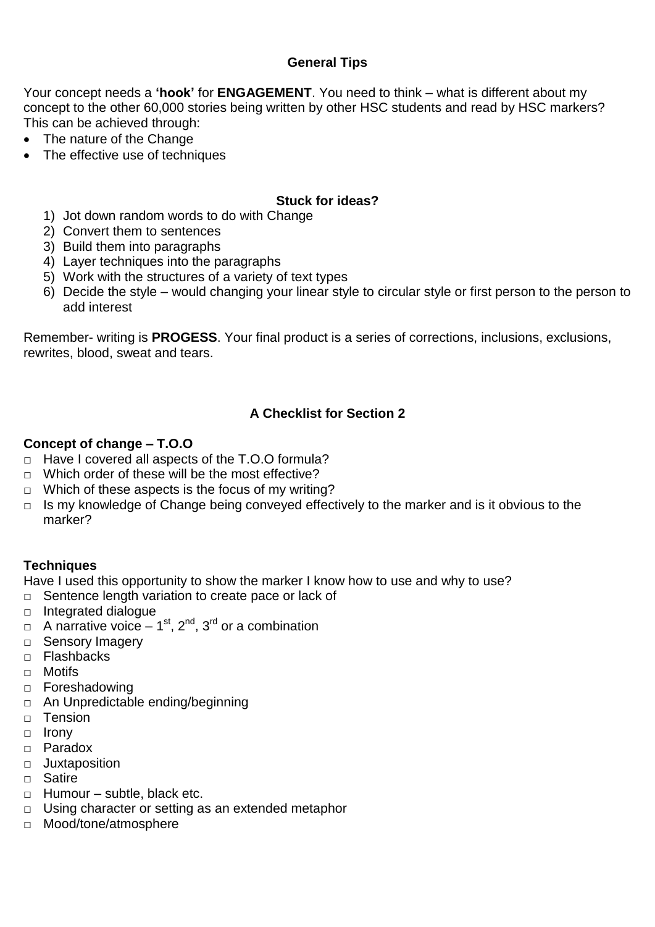# **General Tips**

Your concept needs a **'hook'** for **ENGAGEMENT**. You need to think – what is different about my concept to the other 60,000 stories being written by other HSC students and read by HSC markers? This can be achieved through:

- The nature of the Change
- The effective use of techniques

### **Stuck for ideas?**

- 1) Jot down random words to do with Change
- 2) Convert them to sentences
- 3) Build them into paragraphs
- 4) Layer techniques into the paragraphs
- 5) Work with the structures of a variety of text types
- 6) Decide the style would changing your linear style to circular style or first person to the person to add interest

Remember- writing is **PROGESS**. Your final product is a series of corrections, inclusions, exclusions, rewrites, blood, sweat and tears.

# **A Checklist for Section 2**

#### **Concept of change – T.O.O**

- □ Have I covered all aspects of the T.O.O formula?
- □ Which order of these will be the most effective?
- $\Box$  Which of these aspects is the focus of my writing?
- $\Box$  Is my knowledge of Change being conveyed effectively to the marker and is it obvious to the marker?

#### **Techniques**

Have I used this opportunity to show the marker I know how to use and why to use?

- □ Sentence length variation to create pace or lack of
- $\Box$  Integrated dialogue
- $\Box$  A narrative voice 1<sup>st</sup>, 2<sup>nd</sup>, 3<sup>rd</sup> or a combination
- □ Sensory Imagery
- □ Flashbacks
- □ Motifs
- □ Foreshadowing
- □ An Unpredictable ending/beginning
- □ Tension
- $\Box$  Irony
- □ Paradox
- □ Juxtaposition
- □ Satire
- $\Box$  Humour subtle, black etc.
- □ Using character or setting as an extended metaphor
- □ Mood/tone/atmosphere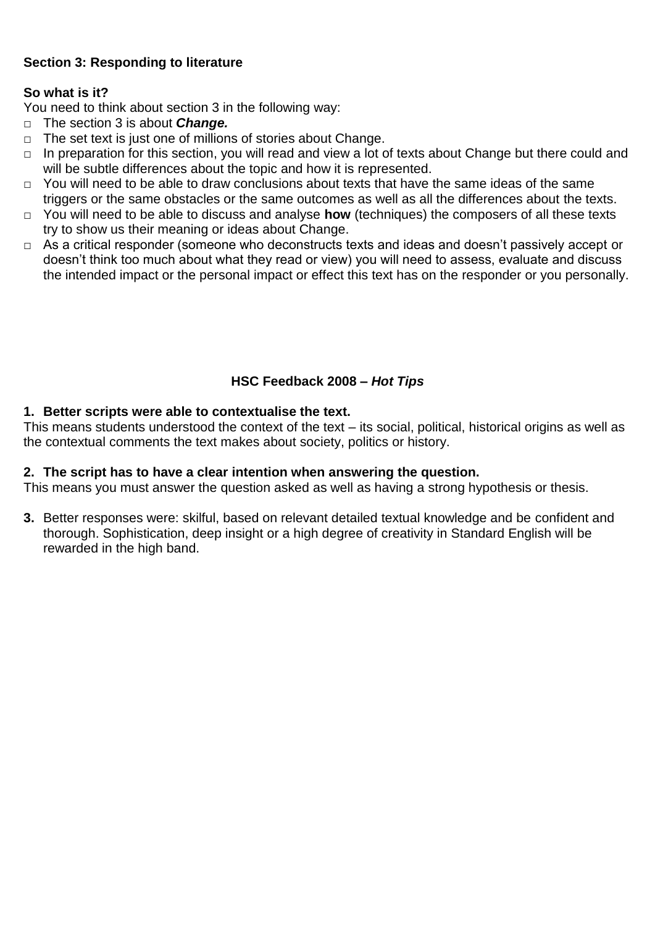# **Section 3: Responding to literature**

### **So what is it?**

You need to think about section 3 in the following way:

- □ The section 3 is about *Change.*
- $\Box$  The set text is just one of millions of stories about Change.
- □ In preparation for this section, you will read and view a lot of texts about Change but there could and will be subtle differences about the topic and how it is represented.
- □ You will need to be able to draw conclusions about texts that have the same ideas of the same triggers or the same obstacles or the same outcomes as well as all the differences about the texts.
- □ You will need to be able to discuss and analyse **how** (techniques) the composers of all these texts try to show us their meaning or ideas about Change.
- □ As a critical responder (someone who deconstructs texts and ideas and doesn't passively accept or doesn't think too much about what they read or view) you will need to assess, evaluate and discuss the intended impact or the personal impact or effect this text has on the responder or you personally.

### **HSC Feedback 2008 –** *Hot Tips*

#### **1. Better scripts were able to contextualise the text.**

This means students understood the context of the text – its social, political, historical origins as well as the contextual comments the text makes about society, politics or history.

#### **2. The script has to have a clear intention when answering the question.**

This means you must answer the question asked as well as having a strong hypothesis or thesis.

**3.** Better responses were: skilful, based on relevant detailed textual knowledge and be confident and thorough. Sophistication, deep insight or a high degree of creativity in Standard English will be rewarded in the high band.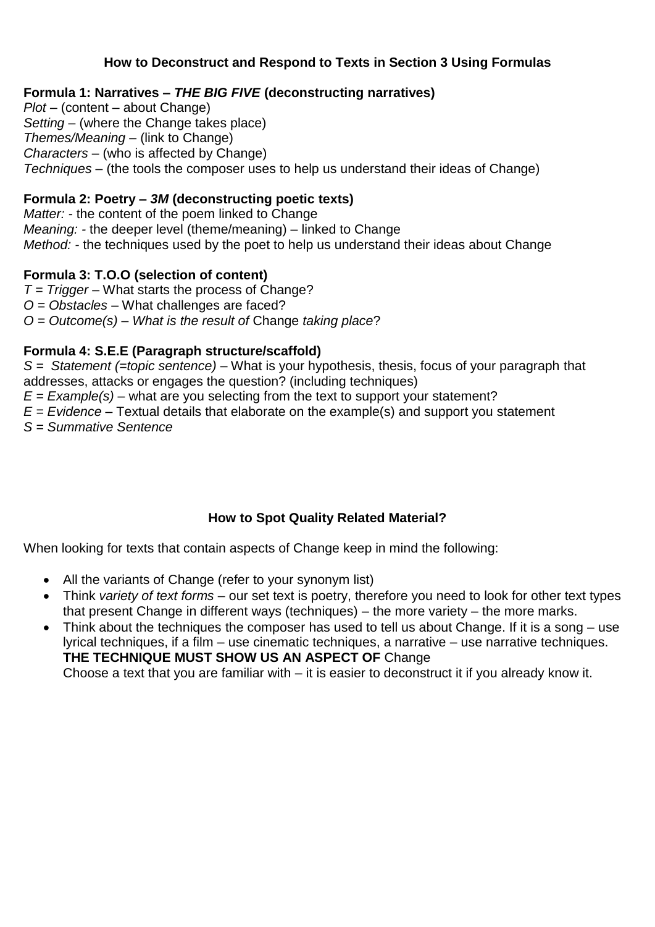## **How to Deconstruct and Respond to Texts in Section 3 Using Formulas**

# **Formula 1: Narratives –** *THE BIG FIVE* **(deconstructing narratives)**

*Plot –* (content – about Change) *Setting –* (where the Change takes place) *Themes/Meaning –* (link to Change) *Characters –* (who is affected by Change) *Techniques –* (the tools the composer uses to help us understand their ideas of Change)

# **Formula 2: Poetry –** *3M* **(deconstructing poetic texts)**

*Matter: -* the content of the poem linked to Change *Meaning: -* the deeper level (theme/meaning) – linked to Change *Method: -* the techniques used by the poet to help us understand their ideas about Change

# **Formula 3: T.O.O (selection of content)**

*T = Trigger –* What starts the process of Change? *O = Obstacles –* What challenges are faced? *O = Outcome(s) – What is the result of* Change *taking place*?

### **Formula 4: S.E.E (Paragraph structure/scaffold)**

*S = Statement (=topic sentence) –* What is your hypothesis, thesis, focus of your paragraph that addresses, attacks or engages the question? (including techniques)

*E = Example(s) –* what are you selecting from the text to support your statement?

*E = Evidence –* Textual details that elaborate on the example(s) and support you statement

*S = Summative Sentence*

# **How to Spot Quality Related Material?**

When looking for texts that contain aspects of Change keep in mind the following:

- All the variants of Change (refer to your synonym list)
- Think *variety of text forms* our set text is poetry, therefore you need to look for other text types that present Change in different ways (techniques) – the more variety – the more marks.
- Think about the techniques the composer has used to tell us about Change. If it is a song use lyrical techniques, if a film – use cinematic techniques, a narrative – use narrative techniques. **THE TECHNIQUE MUST SHOW US AN ASPECT OF** Change

Choose a text that you are familiar with – it is easier to deconstruct it if you already know it.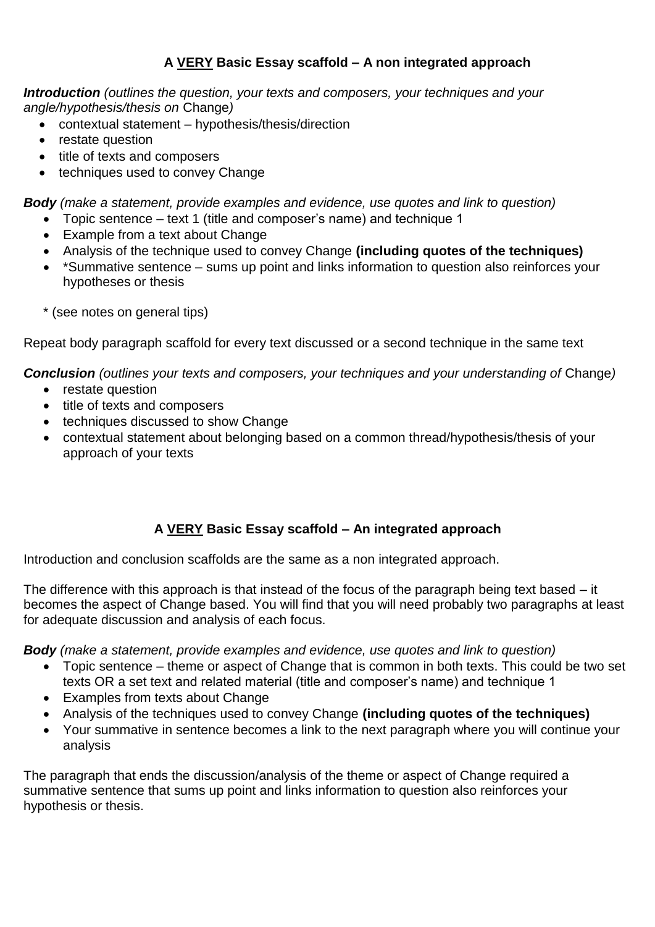# **A VERY Basic Essay scaffold – A non integrated approach**

*Introduction (outlines the question, your texts and composers, your techniques and your angle/hypothesis/thesis on* Change*)*

- contextual statement hypothesis/thesis/direction
- restate question
- title of texts and composers
- techniques used to convey Change

*Body (make a statement, provide examples and evidence, use quotes and link to question)*

- Topic sentence text 1 (title and composer's name) and technique 1
- Example from a text about Change
- Analysis of the technique used to convey Change **(including quotes of the techniques)**
- \*Summative sentence sums up point and links information to question also reinforces your hypotheses or thesis
- \* (see notes on general tips)

Repeat body paragraph scaffold for every text discussed or a second technique in the same text

**Conclusion** (outlines your texts and composers, your techniques and your understanding of Change)

- restate question
- title of texts and composers
- techniques discussed to show Change
- contextual statement about belonging based on a common thread/hypothesis/thesis of your approach of your texts

# **A VERY Basic Essay scaffold – An integrated approach**

Introduction and conclusion scaffolds are the same as a non integrated approach.

The difference with this approach is that instead of the focus of the paragraph being text based – it becomes the aspect of Change based. You will find that you will need probably two paragraphs at least for adequate discussion and analysis of each focus.

*Body (make a statement, provide examples and evidence, use quotes and link to question)*

- Topic sentence theme or aspect of Change that is common in both texts. This could be two set texts OR a set text and related material (title and composer's name) and technique 1
- Examples from texts about Change
- Analysis of the techniques used to convey Change **(including quotes of the techniques)**
- Your summative in sentence becomes a link to the next paragraph where you will continue your analysis

The paragraph that ends the discussion/analysis of the theme or aspect of Change required a summative sentence that sums up point and links information to question also reinforces your hypothesis or thesis.